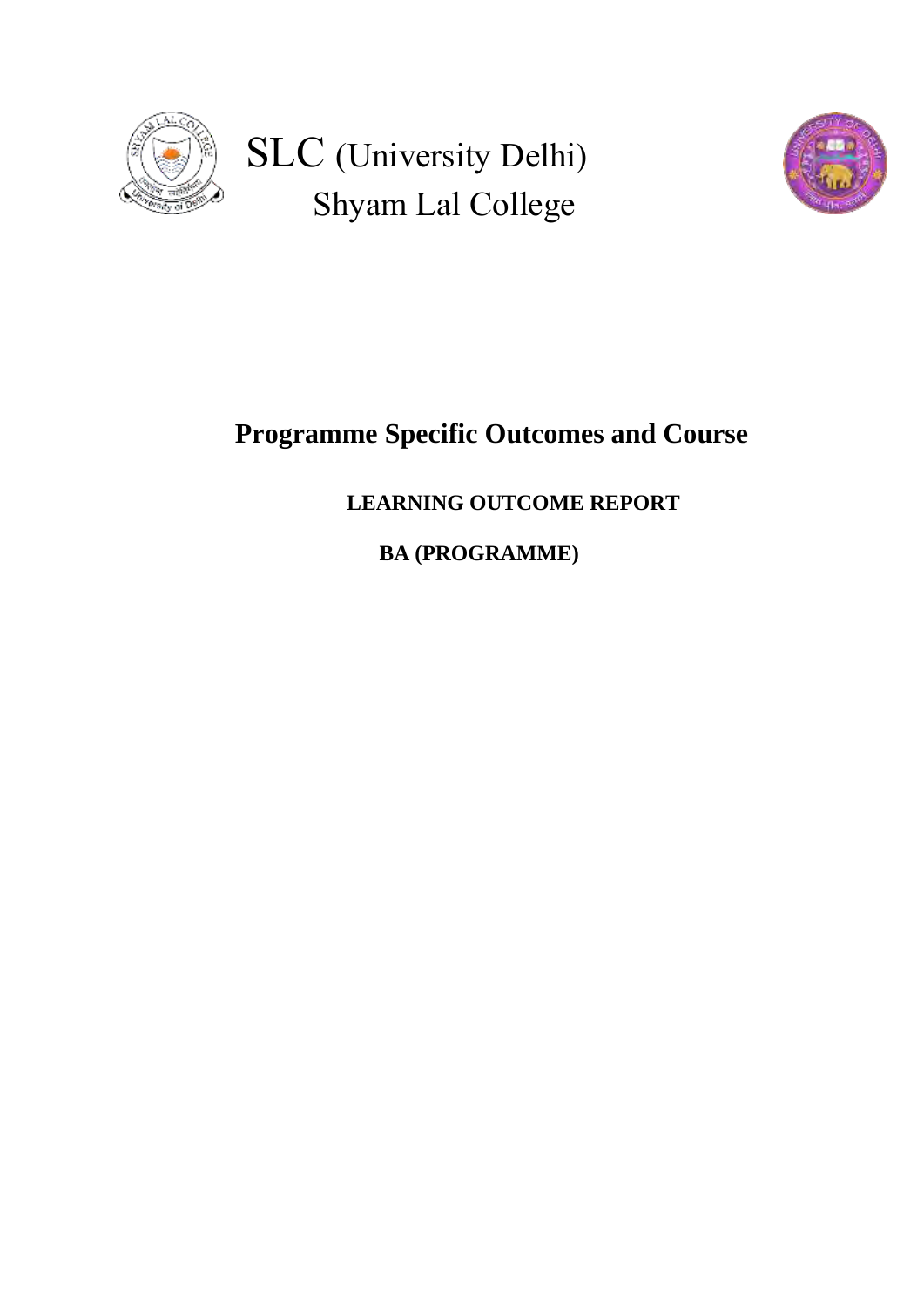

 SLC (University Delhi) Shyam Lal College



## **Programme Specific Outcomes and Course**

## **LEARNING OUTCOME REPORT**

 **BA (PROGRAMME)**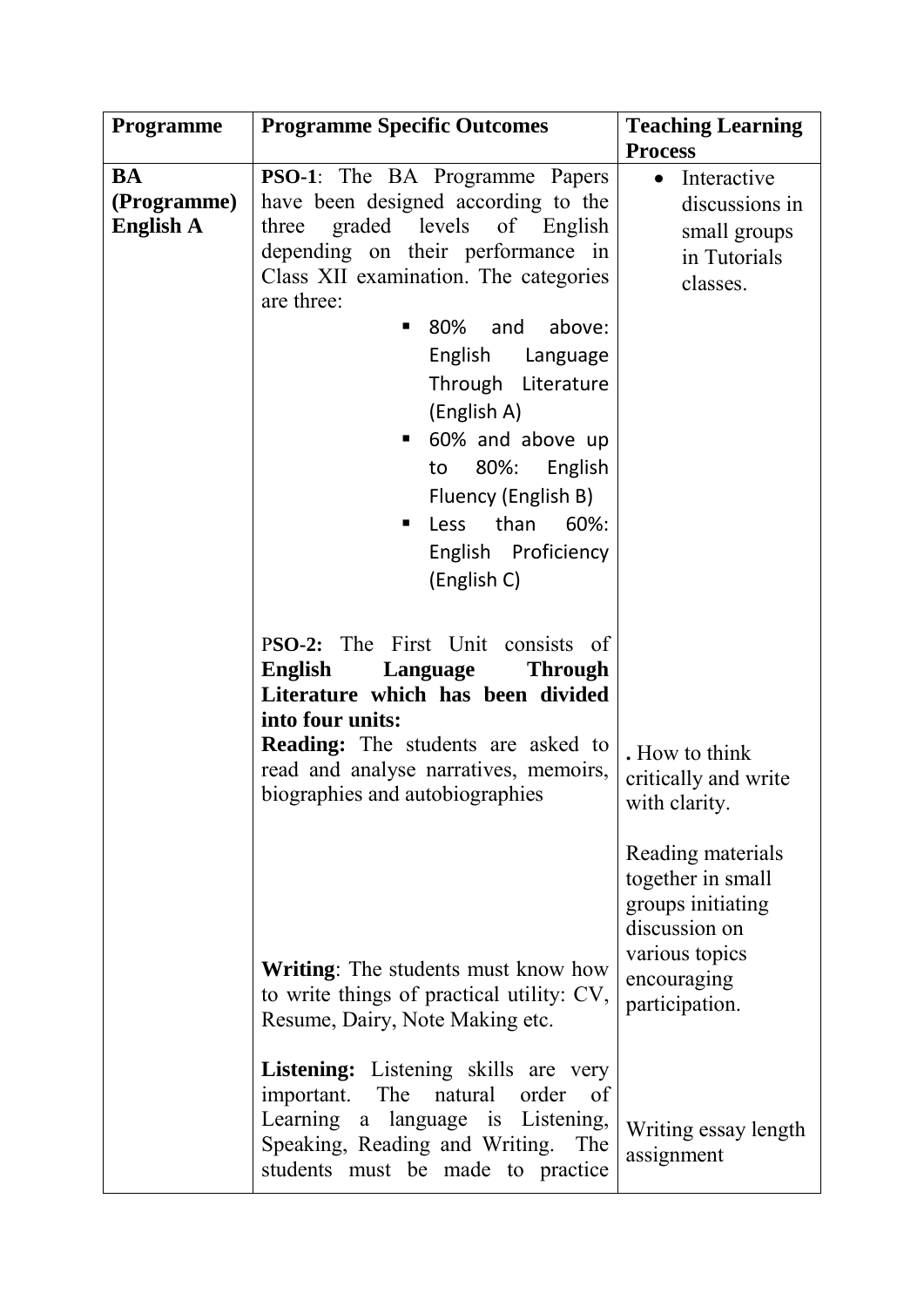| Programme        | <b>Programme Specific Outcomes</b>          | <b>Teaching Learning</b> |
|------------------|---------------------------------------------|--------------------------|
|                  |                                             | <b>Process</b>           |
| <b>BA</b>        | <b>PSO-1</b> : The BA Programme Papers      | Interactive<br>$\bullet$ |
| (Programme)      | have been designed according to the         | discussions in           |
| <b>English A</b> | graded levels<br>of English<br>three        | small groups             |
|                  | depending on their performance in           | in Tutorials             |
|                  | Class XII examination. The categories       | classes.                 |
|                  | are three:                                  |                          |
|                  | 80%<br>and<br>above:                        |                          |
|                  | English<br>Language                         |                          |
|                  |                                             |                          |
|                  | Through Literature                          |                          |
|                  | (English A)                                 |                          |
|                  | 60% and above up                            |                          |
|                  | 80%:<br>English<br>to                       |                          |
|                  | Fluency (English B)                         |                          |
|                  | than<br>60%:<br>Less<br>п                   |                          |
|                  | English Proficiency                         |                          |
|                  | (English C)                                 |                          |
|                  |                                             |                          |
|                  |                                             |                          |
|                  | PSO-2: The First Unit consists of           |                          |
|                  | English<br>Language<br><b>Through</b>       |                          |
|                  | Literature which has been divided           |                          |
|                  | into four units:                            |                          |
|                  | <b>Reading:</b> The students are asked to   | . How to think           |
|                  | read and analyse narratives, memoirs,       | critically and write     |
|                  | biographies and autobiographies             | with clarity.            |
|                  |                                             |                          |
|                  |                                             | Reading materials        |
|                  |                                             | together in small        |
|                  |                                             | groups initiating        |
|                  |                                             | discussion on            |
|                  |                                             | various topics           |
|                  | <b>Writing:</b> The students must know how  | encouraging              |
|                  | to write things of practical utility: CV,   | participation.           |
|                  | Resume, Dairy, Note Making etc.             |                          |
|                  |                                             |                          |
|                  | <b>Listening:</b> Listening skills are very |                          |
|                  | important. The natural order of             |                          |
|                  | Learning a language is Listening,           | Writing essay length     |
|                  | Speaking, Reading and Writing.<br>The       | assignment               |
|                  | students must be made to practice           |                          |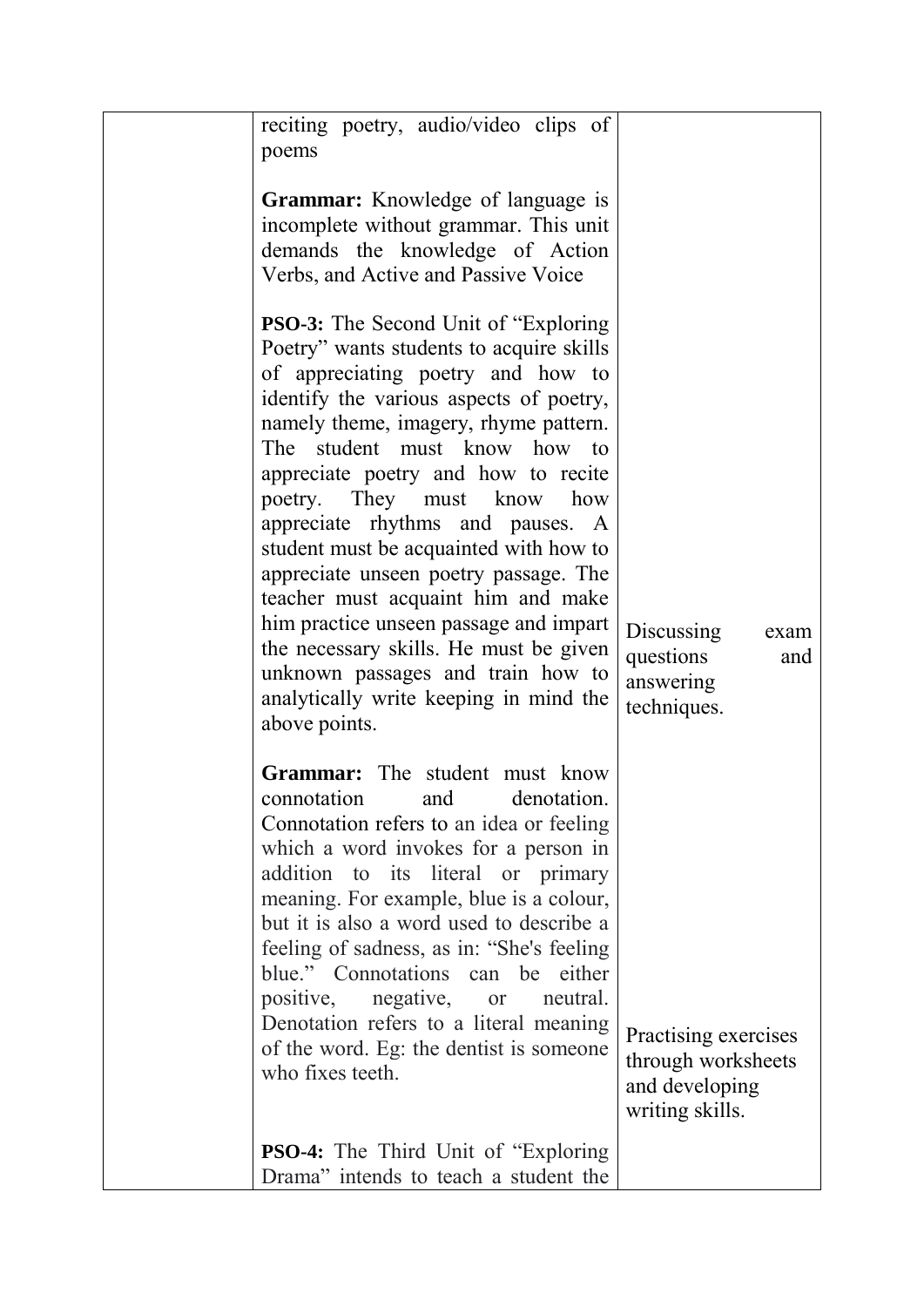| reciting poetry, audio/video clips of                                                                                                                                                                                                                                                                                                                                                                                                                                                                                                                                                                                                                                      |                                                                                 |
|----------------------------------------------------------------------------------------------------------------------------------------------------------------------------------------------------------------------------------------------------------------------------------------------------------------------------------------------------------------------------------------------------------------------------------------------------------------------------------------------------------------------------------------------------------------------------------------------------------------------------------------------------------------------------|---------------------------------------------------------------------------------|
| poems                                                                                                                                                                                                                                                                                                                                                                                                                                                                                                                                                                                                                                                                      |                                                                                 |
|                                                                                                                                                                                                                                                                                                                                                                                                                                                                                                                                                                                                                                                                            |                                                                                 |
| <b>Grammar:</b> Knowledge of language is<br>incomplete without grammar. This unit<br>demands the knowledge of Action<br>Verbs, and Active and Passive Voice                                                                                                                                                                                                                                                                                                                                                                                                                                                                                                                |                                                                                 |
| <b>PSO-3:</b> The Second Unit of "Exploring"<br>Poetry" wants students to acquire skills<br>of appreciating poetry and how to<br>identify the various aspects of poetry,<br>namely theme, imagery, rhyme pattern.<br>The student must know how to<br>appreciate poetry and how to recite<br>poetry. They must know<br>how<br>appreciate rhythms and pauses. A<br>student must be acquainted with how to<br>appreciate unseen poetry passage. The<br>teacher must acquaint him and make<br>him practice unseen passage and impart<br>the necessary skills. He must be given<br>unknown passages and train how to<br>analytically write keeping in mind the<br>above points. | <b>Discussing</b><br>exam<br>questions<br>and<br>answering<br>techniques.       |
| <b>Grammar:</b> The student must know<br>denotation<br>connotation<br>and<br>Connotation refers to an idea or feeling<br>which a word invokes for a person in<br>addition to its literal or primary<br>meaning. For example, blue is a colour,<br>but it is also a word used to describe a<br>feeling of sadness, as in: "She's feeling<br>blue." Connotations can be either<br>positive, negative, or<br>neutral.<br>Denotation refers to a literal meaning<br>of the word. Eg: the dentist is someone<br>who fixes teeth.                                                                                                                                                | Practising exercises<br>through worksheets<br>and developing<br>writing skills. |
| <b>PSO-4:</b> The Third Unit of "Exploring"<br>Drama" intends to teach a student the                                                                                                                                                                                                                                                                                                                                                                                                                                                                                                                                                                                       |                                                                                 |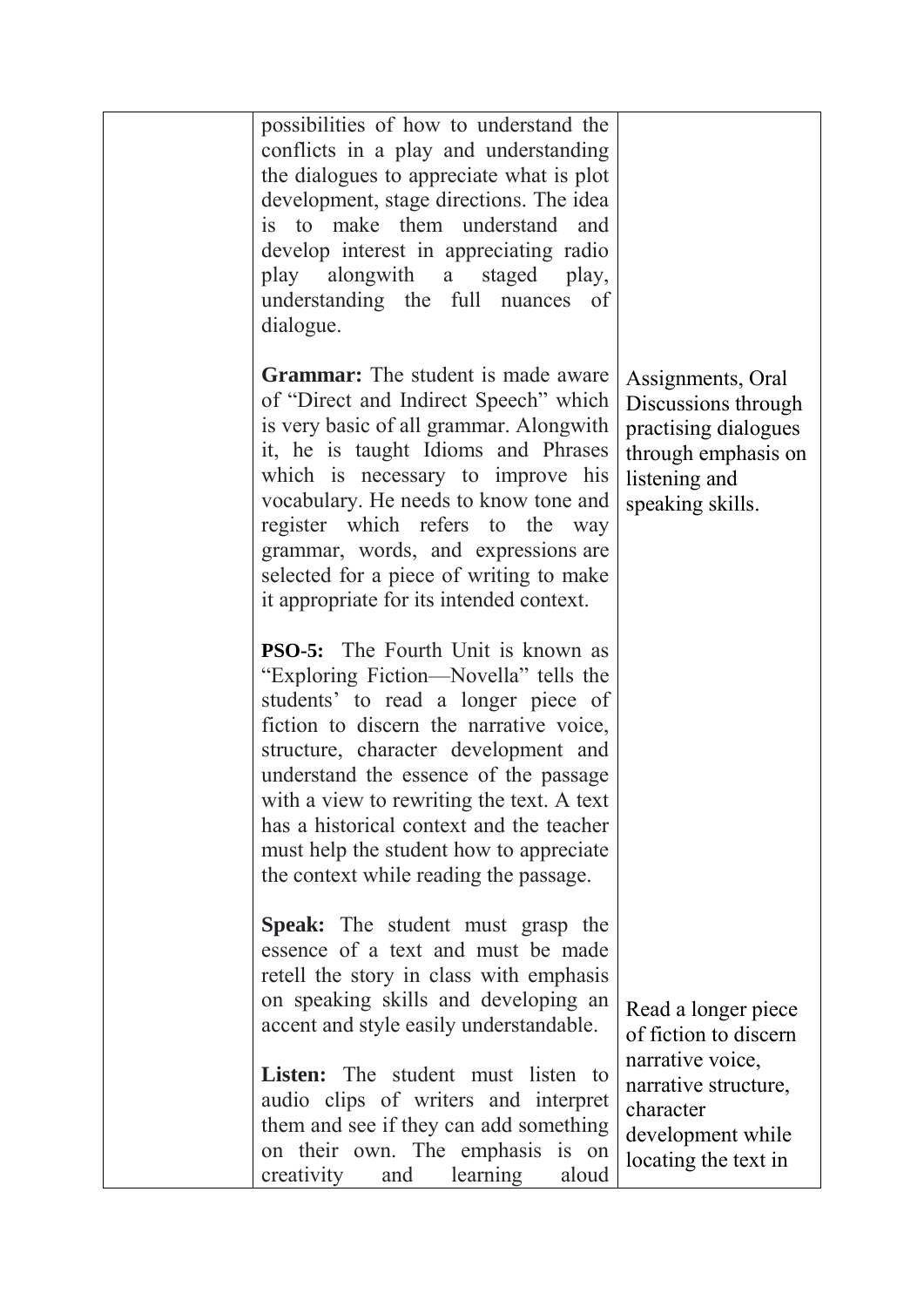| possibilities of how to understand the<br>conflicts in a play and understanding<br>the dialogues to appreciate what is plot<br>development, stage directions. The idea<br>is to make them understand<br>and<br>develop interest in appreciating radio<br>play alongwith a staged play,<br>understanding the full nuances of<br>dialogue.                                                                                            |                                                                                                                                                    |
|-------------------------------------------------------------------------------------------------------------------------------------------------------------------------------------------------------------------------------------------------------------------------------------------------------------------------------------------------------------------------------------------------------------------------------------|----------------------------------------------------------------------------------------------------------------------------------------------------|
| <b>Grammar:</b> The student is made aware<br>of "Direct and Indirect Speech" which<br>is very basic of all grammar. Alongwith<br>it, he is taught Idioms and Phrases<br>which is necessary to improve his<br>vocabulary. He needs to know tone and<br>register which refers to the way<br>grammar, words, and expressions are<br>selected for a piece of writing to make<br>it appropriate for its intended context.                | Assignments, Oral<br>Discussions through<br>practising dialogues<br>through emphasis on<br>listening and<br>speaking skills.                       |
| <b>PSO-5:</b> The Fourth Unit is known as<br>"Exploring Fiction—Novella" tells the<br>students' to read a longer piece of<br>fiction to discern the narrative voice,<br>structure, character development and<br>understand the essence of the passage<br>with a view to rewriting the text. A text<br>has a historical context and the teacher<br>must help the student how to appreciate<br>the context while reading the passage. |                                                                                                                                                    |
| <b>Speak:</b> The student must grasp the<br>essence of a text and must be made<br>retell the story in class with emphasis<br>on speaking skills and developing an<br>accent and style easily understandable.<br><b>Listen:</b> The student must listen to<br>audio clips of writers and interpret<br>them and see if they can add something<br>on their own. The emphasis is on<br>creativity<br>learning<br>and<br>aloud           | Read a longer piece<br>of fiction to discern<br>narrative voice,<br>narrative structure,<br>character<br>development while<br>locating the text in |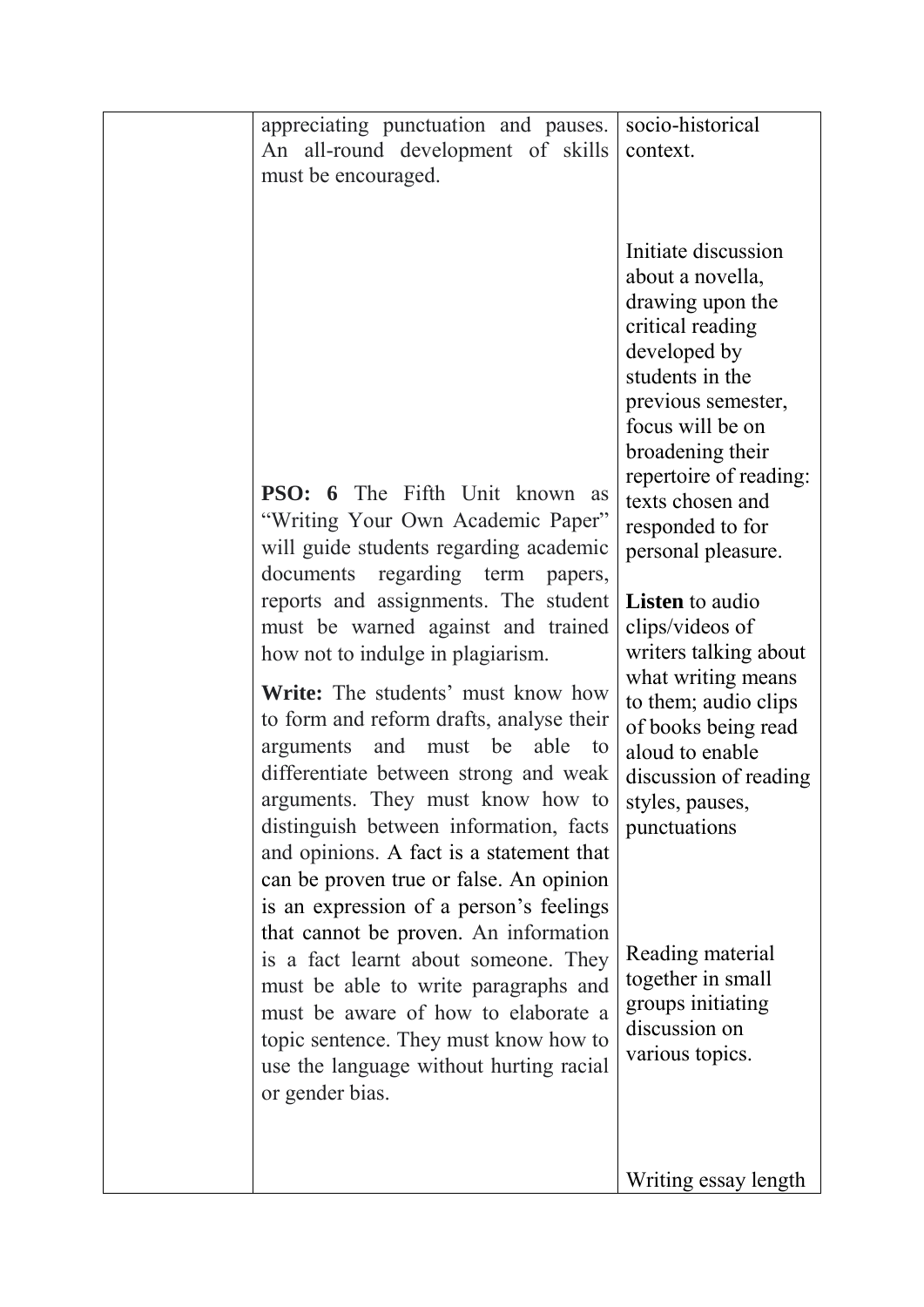| appreciating punctuation and pauses.<br>An all-round development of skills<br>must be encouraged.                                                                                                                                                                                                                                                                                                                                                                                           | socio-historical<br>context.                                                                                                                                                                                                                                                                                                                                                                                                                                                       |
|---------------------------------------------------------------------------------------------------------------------------------------------------------------------------------------------------------------------------------------------------------------------------------------------------------------------------------------------------------------------------------------------------------------------------------------------------------------------------------------------|------------------------------------------------------------------------------------------------------------------------------------------------------------------------------------------------------------------------------------------------------------------------------------------------------------------------------------------------------------------------------------------------------------------------------------------------------------------------------------|
| <b>PSO:</b> 6 The Fifth Unit known as<br>"Writing Your Own Academic Paper"<br>will guide students regarding academic<br>documents regarding term<br>papers,<br>reports and assignments. The student<br>must be warned against and trained<br>how not to indulge in plagiarism.<br><b>Write:</b> The students' must know how<br>to form and reform drafts, analyse their<br>arguments and must be<br>able<br>to<br>differentiate between strong and weak<br>arguments. They must know how to | Initiate discussion<br>about a novella,<br>drawing upon the<br>critical reading<br>developed by<br>students in the<br>previous semester,<br>focus will be on<br>broadening their<br>repertoire of reading:<br>texts chosen and<br>responded to for<br>personal pleasure.<br><b>Listen</b> to audio<br>clips/videos of<br>writers talking about<br>what writing means<br>to them; audio clips<br>of books being read<br>aloud to enable<br>discussion of reading<br>styles, pauses, |
| distinguish between information, facts<br>and opinions. A fact is a statement that<br>can be proven true or false. An opinion<br>is an expression of a person's feelings<br>that cannot be proven. An information<br>is a fact learnt about someone. They<br>must be able to write paragraphs and<br>must be aware of how to elaborate a<br>topic sentence. They must know how to<br>use the language without hurting racial<br>or gender bias.                                             | punctuations<br>Reading material<br>together in small<br>groups initiating<br>discussion on<br>various topics.                                                                                                                                                                                                                                                                                                                                                                     |
|                                                                                                                                                                                                                                                                                                                                                                                                                                                                                             | Writing essay length                                                                                                                                                                                                                                                                                                                                                                                                                                                               |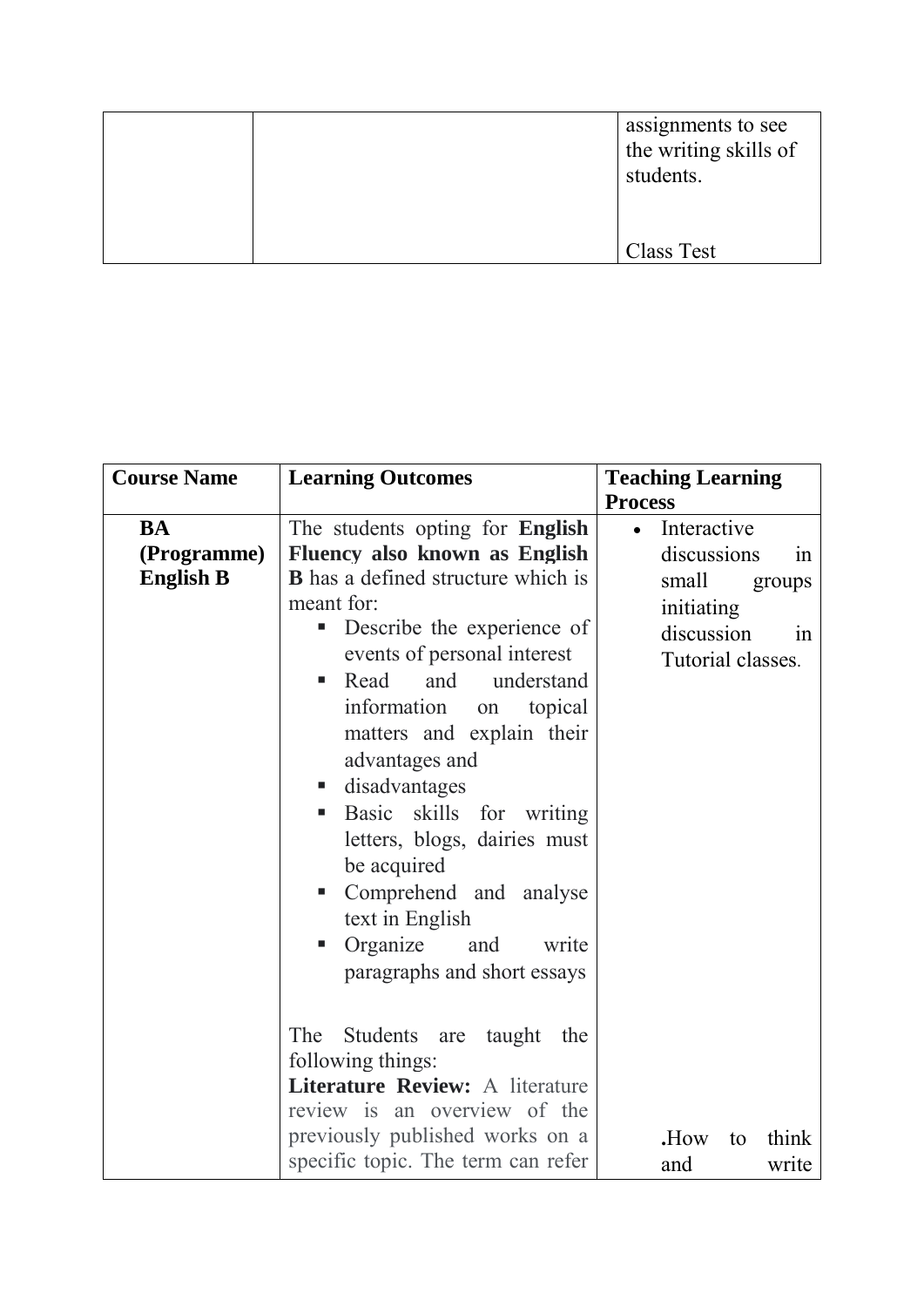|  | assignments to see<br>the writing skills of<br>students. |
|--|----------------------------------------------------------|
|  | Class Test                                               |

| <b>Course Name</b>                           | <b>Learning Outcomes</b>                                                                                                                                                                                                                                                                                                                                                                                                                                                                                                                                   | <b>Teaching Learning</b><br><b>Process</b>                                                                              |
|----------------------------------------------|------------------------------------------------------------------------------------------------------------------------------------------------------------------------------------------------------------------------------------------------------------------------------------------------------------------------------------------------------------------------------------------------------------------------------------------------------------------------------------------------------------------------------------------------------------|-------------------------------------------------------------------------------------------------------------------------|
| <b>BA</b><br>(Programme)<br><b>English B</b> | The students opting for <b>English</b><br>Fluency also known as English<br><b>B</b> has a defined structure which is<br>meant for:<br>Describe the experience of<br>п<br>events of personal interest<br>and<br>understand<br>Read<br>$\blacksquare$<br>information<br>topical<br>on<br>matters and explain their<br>advantages and<br>disadvantages<br>ш<br>Basic skills for writing<br>п<br>letters, blogs, dairies must<br>be acquired<br>Comprehend and analyse<br>п<br>text in English<br>Organize<br>and<br>write<br>■<br>paragraphs and short essays | Interactive<br>$\bullet$<br>discussions<br>1n<br>small<br>groups<br>initiating<br>discussion<br>1n<br>Tutorial classes. |
|                                              | The<br>Students are taught<br>the<br>following things:<br>Literature Review: A literature<br>review is an overview of the<br>previously published works on a<br>specific topic. The term can refer                                                                                                                                                                                                                                                                                                                                                         | think<br>.How<br>to<br>and<br>write                                                                                     |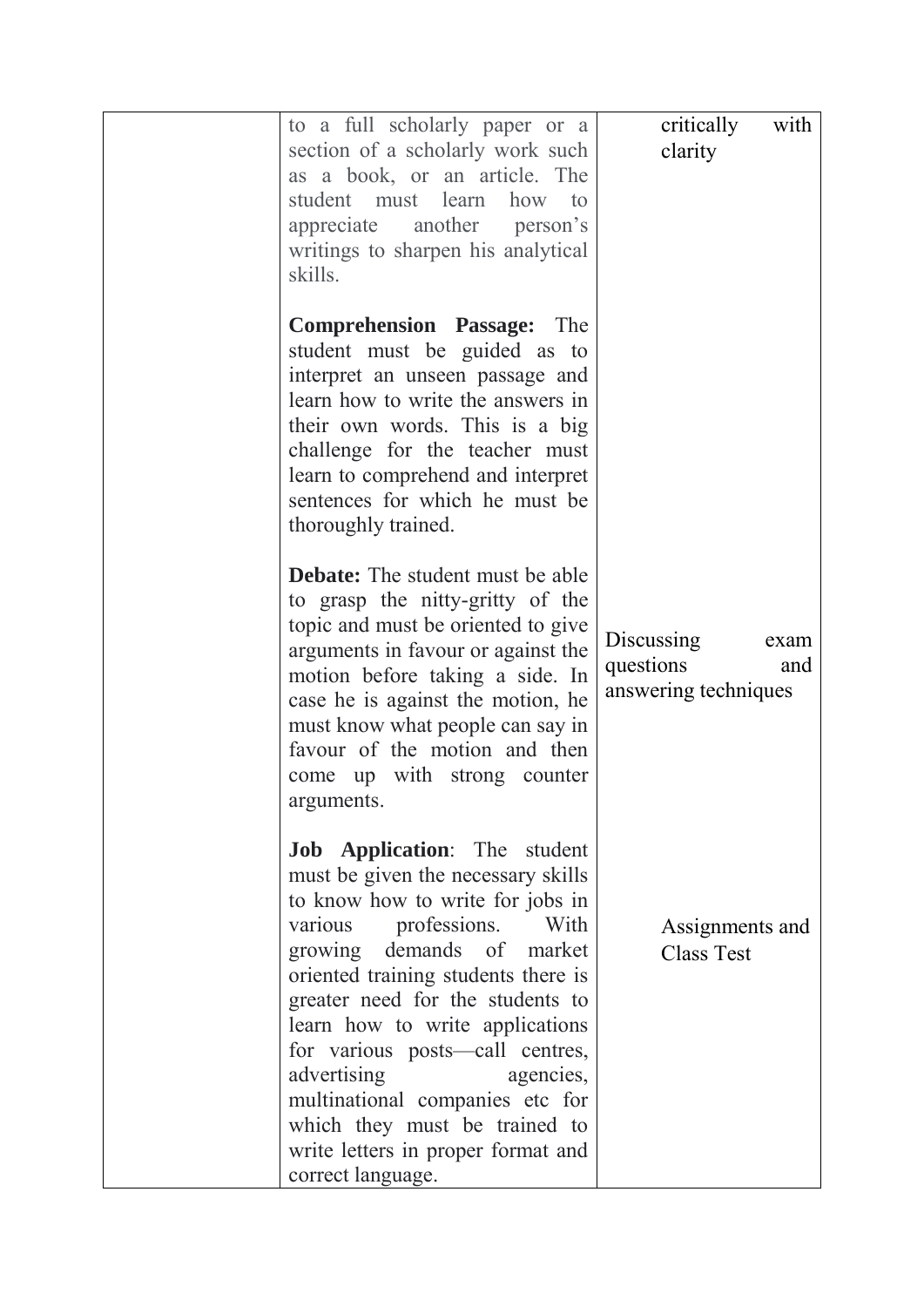| to a full scholarly paper or a                                         | critically<br>with   |
|------------------------------------------------------------------------|----------------------|
| section of a scholarly work such                                       | clarity              |
| as a book, or an article. The                                          |                      |
| student must learn how to<br>appreciate another person's               |                      |
| writings to sharpen his analytical                                     |                      |
| skills.                                                                |                      |
|                                                                        |                      |
| <b>Comprehension Passage:</b> The                                      |                      |
| student must be guided as to                                           |                      |
| interpret an unseen passage and                                        |                      |
| learn how to write the answers in                                      |                      |
| their own words. This is a big                                         |                      |
| challenge for the teacher must<br>learn to comprehend and interpret    |                      |
| sentences for which he must be                                         |                      |
| thoroughly trained.                                                    |                      |
|                                                                        |                      |
| <b>Debate:</b> The student must be able                                |                      |
| to grasp the nitty-gritty of the                                       |                      |
| topic and must be oriented to give                                     | Discussing<br>exam   |
| arguments in favour or against the                                     | questions<br>and     |
| motion before taking a side. In<br>case he is against the motion, he   | answering techniques |
| must know what people can say in                                       |                      |
| favour of the motion and then                                          |                      |
| come up with strong counter                                            |                      |
| arguments.                                                             |                      |
|                                                                        |                      |
| Job Application: The student                                           |                      |
| must be given the necessary skills<br>to know how to write for jobs in |                      |
| various professions.<br>With                                           | Assignments and      |
| growing demands of market                                              | <b>Class Test</b>    |
| oriented training students there is                                    |                      |
| greater need for the students to                                       |                      |
| learn how to write applications                                        |                      |
| for various posts—call centres,                                        |                      |
| advertising<br>agencies,                                               |                      |
| multinational companies etc for<br>which they must be trained to       |                      |
| write letters in proper format and                                     |                      |
| correct language.                                                      |                      |
|                                                                        |                      |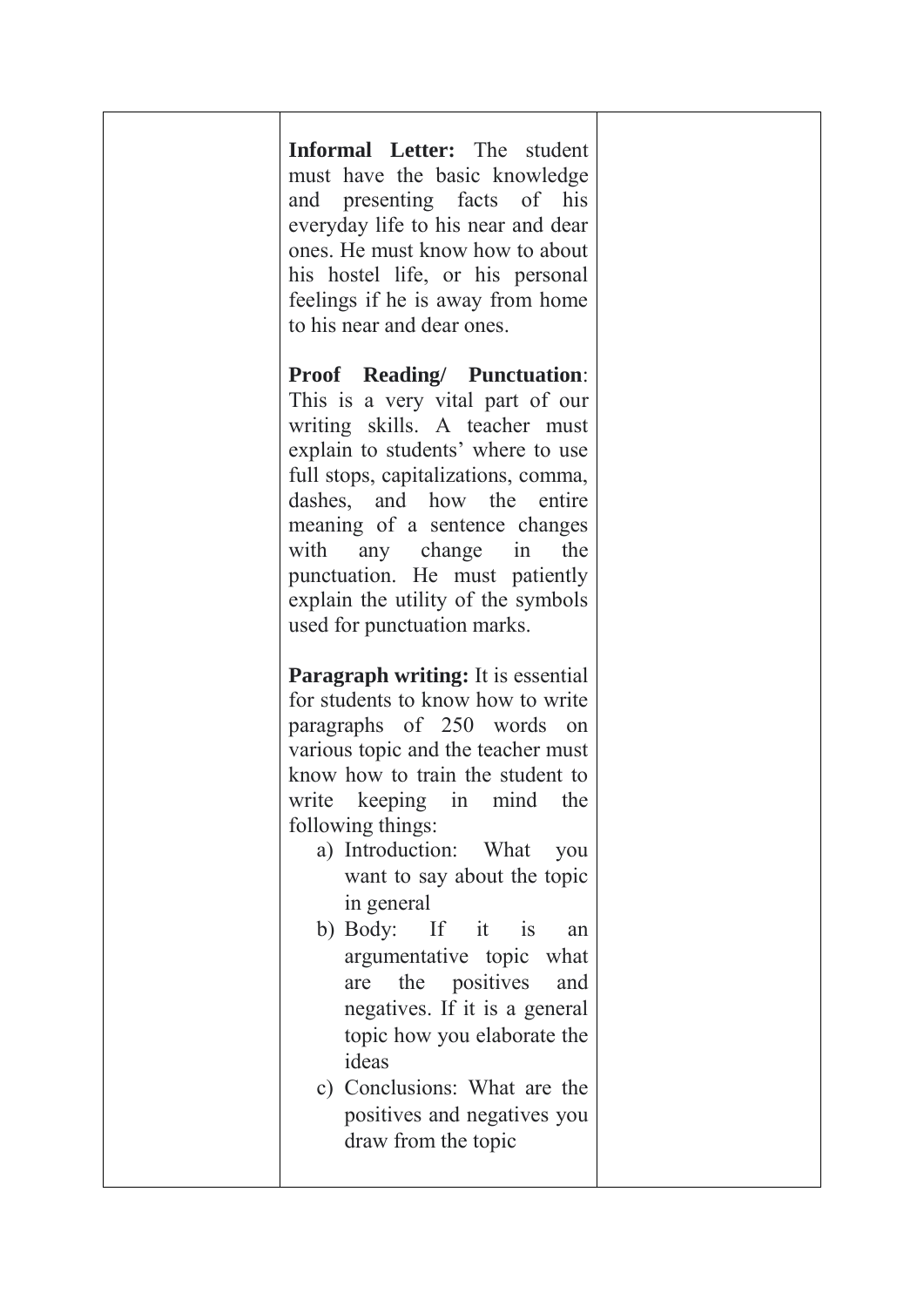| Informal Letter: The student<br>must have the basic knowledge<br>and presenting facts of his<br>everyday life to his near and dear<br>ones. He must know how to about<br>his hostel life, or his personal<br>feelings if he is away from home<br>to his near and dear ones.                                                                                                                                                                                                                                                                                                         |  |
|-------------------------------------------------------------------------------------------------------------------------------------------------------------------------------------------------------------------------------------------------------------------------------------------------------------------------------------------------------------------------------------------------------------------------------------------------------------------------------------------------------------------------------------------------------------------------------------|--|
| <b>Proof Reading/ Punctuation:</b><br>This is a very vital part of our<br>writing skills. A teacher must<br>explain to students' where to use<br>full stops, capitalizations, comma,<br>dashes, and how the entire<br>meaning of a sentence changes<br>with any change in<br>the<br>punctuation. He must patiently<br>explain the utility of the symbols<br>used for punctuation marks.                                                                                                                                                                                             |  |
| <b>Paragraph writing:</b> It is essential<br>for students to know how to write<br>paragraphs of 250 words on<br>various topic and the teacher must<br>know how to train the student to<br>write keeping in mind<br>the<br>following things:<br>a) Introduction: What<br>you<br>want to say about the topic<br>in general<br>b) Body: If it is<br>an<br>argumentative topic<br>what<br>the<br>positives<br>and<br>are<br>negatives. If it is a general<br>topic how you elaborate the<br>ideas<br>c) Conclusions: What are the<br>positives and negatives you<br>draw from the topic |  |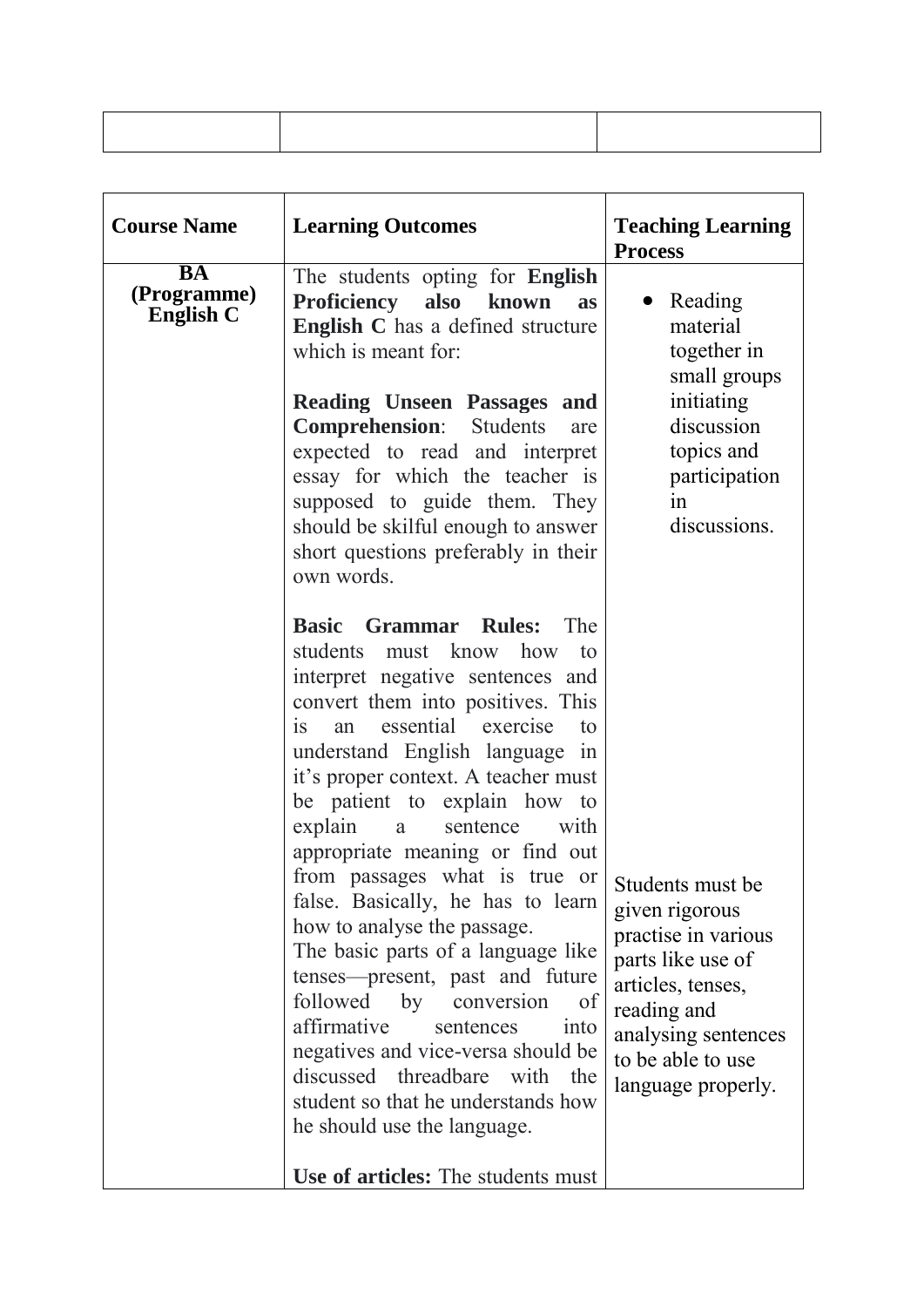| <b>Course Name</b>                           | <b>Learning Outcomes</b>                                                                                                                                                                                                                                                                                                                                                                                                                                                                                                                                                                                                                                                                                                                                                                                               | <b>Teaching Learning</b><br><b>Process</b>                                                                                                                                           |
|----------------------------------------------|------------------------------------------------------------------------------------------------------------------------------------------------------------------------------------------------------------------------------------------------------------------------------------------------------------------------------------------------------------------------------------------------------------------------------------------------------------------------------------------------------------------------------------------------------------------------------------------------------------------------------------------------------------------------------------------------------------------------------------------------------------------------------------------------------------------------|--------------------------------------------------------------------------------------------------------------------------------------------------------------------------------------|
| <b>BA</b><br>(Programme)<br><b>English C</b> | The students opting for English<br>Proficiency also known<br><b>as</b><br><b>English C</b> has a defined structure<br>which is meant for:<br><b>Reading Unseen Passages and</b><br><b>Comprehension:</b><br>Students<br>are<br>expected to read and interpret<br>essay for which the teacher is<br>supposed to guide them. They<br>should be skilful enough to answer<br>short questions preferably in their<br>own words.                                                                                                                                                                                                                                                                                                                                                                                             | Reading<br>material<br>together in<br>small groups<br>initiating<br>discussion<br>topics and<br>participation<br>in<br>discussions.                                                  |
|                                              | <b>Basic Grammar Rules:</b><br>The<br>must know how<br>students<br>to<br>interpret negative sentences and<br>convert them into positives. This<br>essential exercise<br>an<br>to<br>1S<br>understand English language in<br>it's proper context. A teacher must<br>be patient to explain how to<br>explain<br>sentence<br>with<br>a<br>appropriate meaning or find out<br>from passages what is true or<br>false. Basically, he has to learn<br>how to analyse the passage.<br>The basic parts of a language like<br>tenses—present, past and future<br>followed<br>by<br>of<br>conversion<br>affirmative<br>sentences<br>into<br>negatives and vice-versa should be<br>discussed threadbare<br>with<br>the<br>student so that he understands how<br>he should use the language.<br>Use of articles: The students must | Students must be<br>given rigorous<br>practise in various<br>parts like use of<br>articles, tenses,<br>reading and<br>analysing sentences<br>to be able to use<br>language properly. |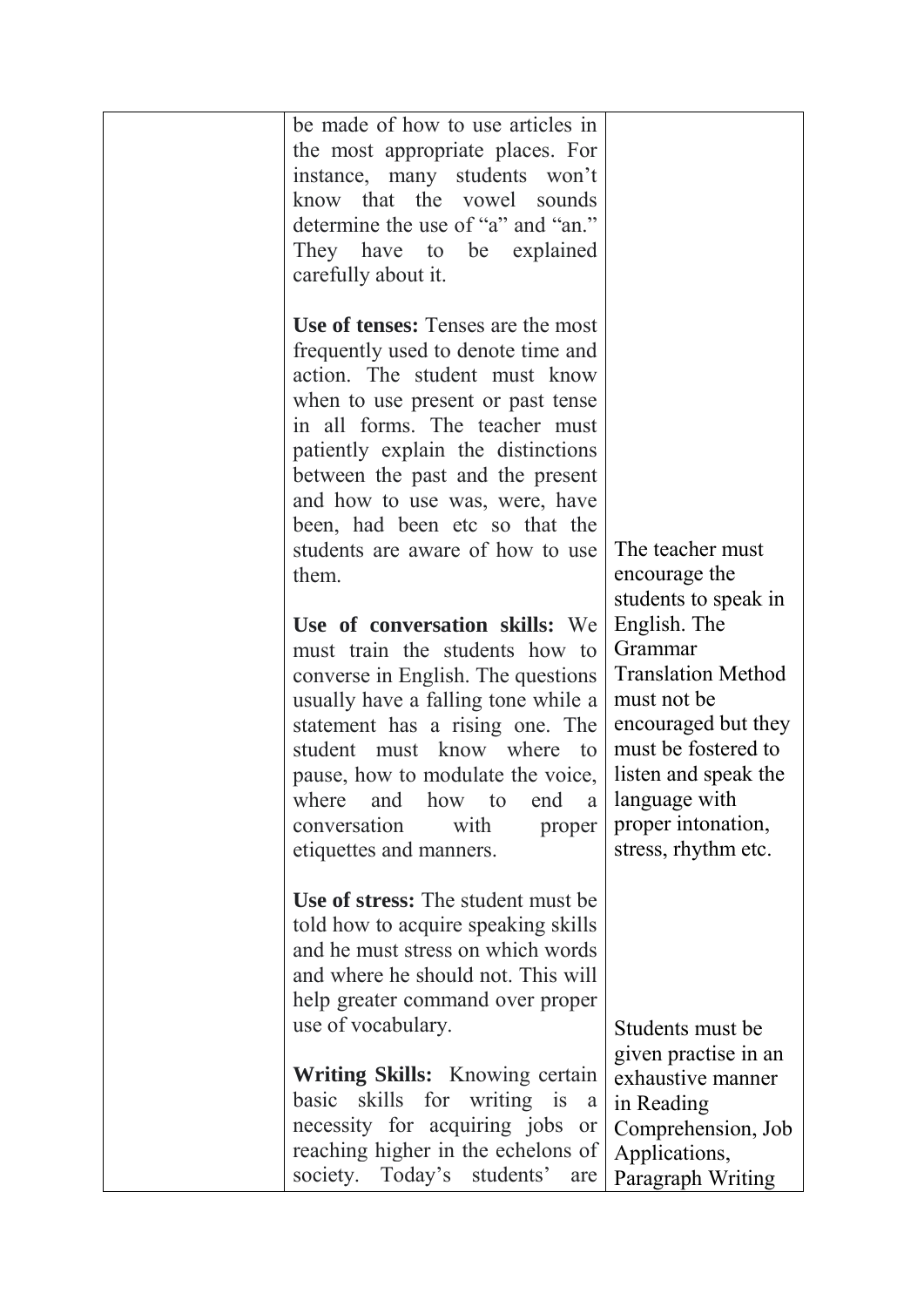| be made of how to use articles in<br>the most appropriate places. For<br>instance, many students won't<br>know that the vowel sounds<br>determine the use of "a" and "an."<br>They have to be explained<br>carefully about it.                                                                                                             |                                                                                                                                                                                                         |
|--------------------------------------------------------------------------------------------------------------------------------------------------------------------------------------------------------------------------------------------------------------------------------------------------------------------------------------------|---------------------------------------------------------------------------------------------------------------------------------------------------------------------------------------------------------|
| <b>Use of tenses:</b> Tenses are the most<br>frequently used to denote time and<br>action. The student must know<br>when to use present or past tense<br>in all forms. The teacher must<br>patiently explain the distinctions<br>between the past and the present<br>and how to use was, were, have<br>been, had been etc so that the      |                                                                                                                                                                                                         |
| students are aware of how to use<br>them.                                                                                                                                                                                                                                                                                                  | The teacher must<br>encourage the<br>students to speak in                                                                                                                                               |
| Use of conversation skills: We<br>must train the students how to<br>converse in English. The questions<br>usually have a falling tone while a<br>statement has a rising one. The<br>student must know where to<br>pause, how to modulate the voice,<br>where and how to end a<br>with<br>conversation<br>proper<br>etiquettes and manners. | English. The<br>Grammar<br><b>Translation Method</b><br>must not be<br>encouraged but they<br>must be fostered to<br>listen and speak the<br>language with<br>proper intonation,<br>stress, rhythm etc. |
| Use of stress: The student must be<br>told how to acquire speaking skills<br>and he must stress on which words<br>and where he should not. This will<br>help greater command over proper<br>use of vocabulary.                                                                                                                             |                                                                                                                                                                                                         |
| <b>Writing Skills:</b> Knowing certain<br>basic skills for writing is<br>a<br>necessity for acquiring jobs or<br>reaching higher in the echelons of<br>society. Today's students'<br>are                                                                                                                                                   | Students must be<br>given practise in an<br>exhaustive manner<br>in Reading<br>Comprehension, Job<br>Applications,<br>Paragraph Writing                                                                 |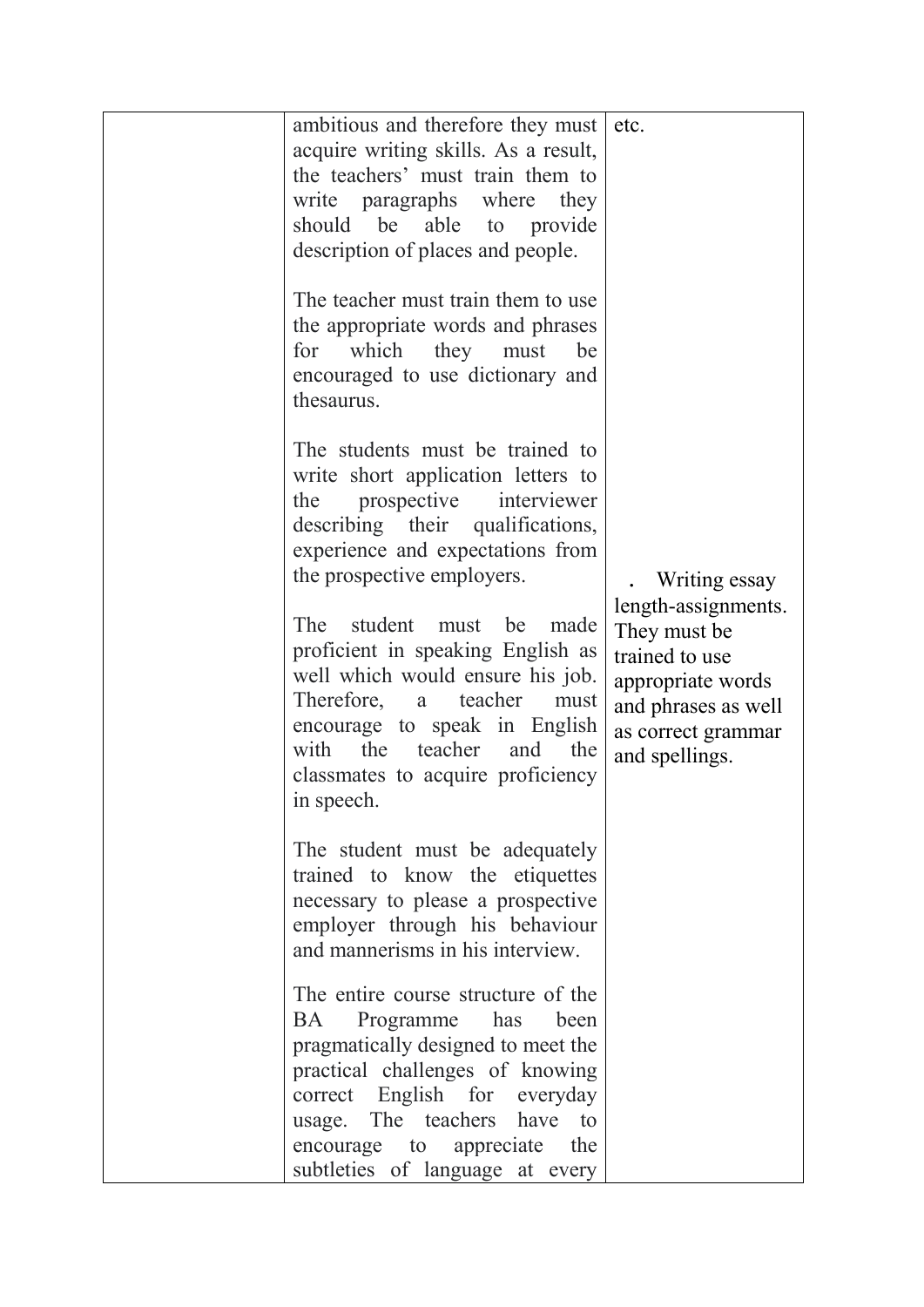| ambitious and therefore they must                                                                                                                                                                                                                                                                                                                                                                                                                                      | etc.                                                                                                                                                        |
|------------------------------------------------------------------------------------------------------------------------------------------------------------------------------------------------------------------------------------------------------------------------------------------------------------------------------------------------------------------------------------------------------------------------------------------------------------------------|-------------------------------------------------------------------------------------------------------------------------------------------------------------|
| acquire writing skills. As a result,<br>the teachers' must train them to<br>write paragraphs where<br>they<br>should be able to provide<br>description of places and people.                                                                                                                                                                                                                                                                                           |                                                                                                                                                             |
| The teacher must train them to use<br>the appropriate words and phrases<br>which<br>they<br>must<br>for<br>be<br>encouraged to use dictionary and<br>thesaurus.                                                                                                                                                                                                                                                                                                        |                                                                                                                                                             |
| The students must be trained to<br>write short application letters to<br>prospective<br>the<br>interviewer<br>describing their qualifications,<br>experience and expectations from<br>the prospective employers.<br>student must be<br>The<br>made<br>proficient in speaking English as<br>well which would ensure his job.<br>Therefore, a teacher<br>must<br>encourage to speak in English<br>the<br>teacher<br>with<br>and the<br>classmates to acquire proficiency | Writing essay<br>length-assignments.<br>They must be.<br>trained to use<br>appropriate words<br>and phrases as well<br>as correct grammar<br>and spellings. |
| in speech.<br>The student must be adequately<br>trained to know the etiquettes<br>necessary to please a prospective<br>employer through his behaviour<br>and mannerisms in his interview.<br>The entire course structure of the                                                                                                                                                                                                                                        |                                                                                                                                                             |
| Programme<br>BA.<br>has<br>been<br>pragmatically designed to meet the<br>practical challenges of knowing<br>correct English for everyday<br>usage. The teachers have to<br>encourage to appreciate<br>the<br>subtleties of language at every                                                                                                                                                                                                                           |                                                                                                                                                             |